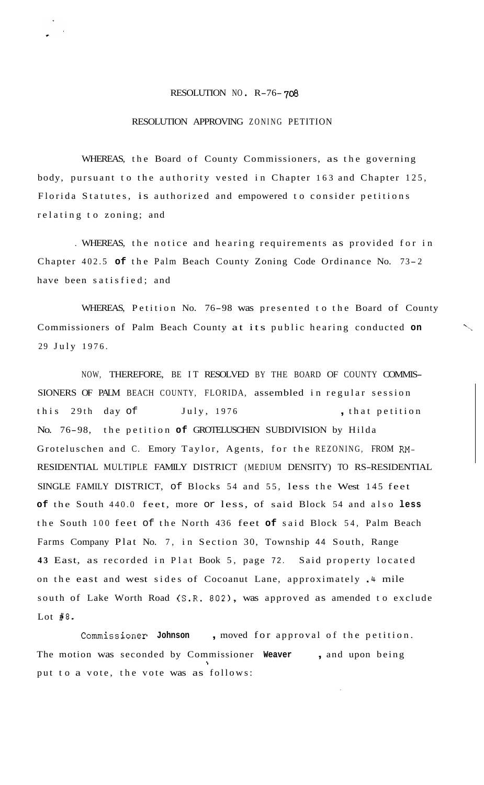## RESOLUTION NO R-76- **<sup>708</sup>**

## RESOLUTION APPROVING ZONING PETITION

WHEREAS, the Board of County Commissioners, as the governing body, pursuant to the authority vested in Chapter 163 and Chapter 125, Florida Statutes, is authorized and empowered to consider petitions relating to zoning; and

. WHEREAS, the notice and hearing requirements as provided for in Chapter 402.5 **of** the Palm Beach County Zoning Code Ordinance No. 73- <sup>2</sup> have been satisfied; and

WHEREAS, Petition No. 76-98 was presented to the Board of County Commissioners of Palm Beach County at its public hearing conducted on 29 July 1976.

NOW, THEREFORE, BE IT RESOLVED BY THE BOARD OF COUNTY COMMIS-SIONERS OF PALM BEACH COUNTY, FLORIDA, assembled in regular session this 29th day of July, 1976 , that petition No. 76-98, the petition **of** GROTELUSCHEN SUBDIVISION by Hilda Groteluschen and C. Emory Taylor, Agents, for the REZONING, FROM RM-RESIDENTIAL MULTIPLE FAMILY DISTRICT (MEDIUM DENSITY) TO RS-RESIDENTIAL SINGLE FAMILY DISTRICT, of Blocks 54 and 55, less the West 145 feet **of** the South 440.0 feet, more or less, of said Block 54 and also **less**  the South 100 feet of the North 436 feet **of** said Block 54, Palm Beach Farms Company Plat No. 7, in Section 30, Township 44 South, Range **43** East, as recorded in Plat Book 5, page 72. Said property located on the east and west sides of Cocoanut Lane, approximately .4 mile south of Lake Worth Road (S.R. 802), was approved as amended to exclude Lot  $#8$ .

Commissioner **Johnson** , moved for approval of the petition. The motion was seconded by Commissioner **Weaver** , and upon being put to a vote, the vote was as follows: \